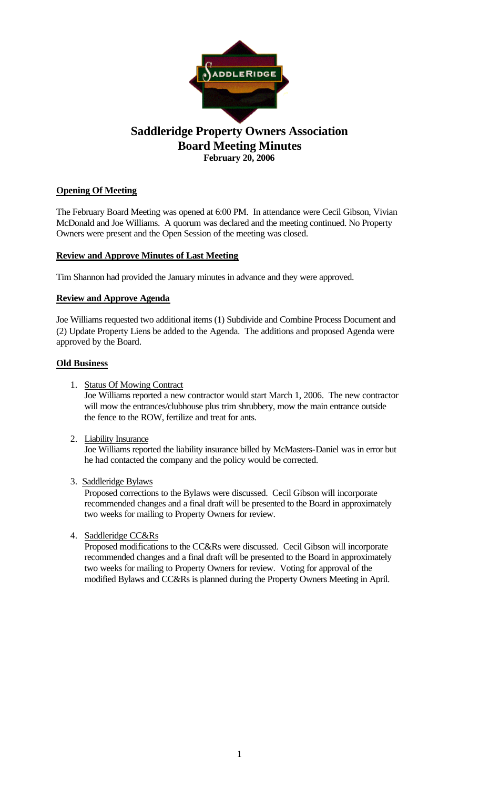

# **Saddleridge Property Owners Association Board Meeting Minutes February 20, 2006**

# **Opening Of Meeting**

The February Board Meeting was opened at 6:00 PM. In attendance were Cecil Gibson, Vivian McDonald and Joe Williams. A quorum was declared and the meeting continued. No Property Owners were present and the Open Session of the meeting was closed.

## **Review and Approve Minutes of Last Meeting**

Tim Shannon had provided the January minutes in advance and they were approved.

## **Review and Approve Agenda**

Joe Williams requested two additional items (1) Subdivide and Combine Process Document and (2) Update Property Liens be added to the Agenda. The additions and proposed Agenda were approved by the Board.

#### **Old Business**

1. Status Of Mowing Contract

Joe Williams reported a new contractor would start March 1, 2006. The new contractor will mow the entrances/clubhouse plus trim shrubbery, mow the main entrance outside the fence to the ROW, fertilize and treat for ants.

2. Liability Insurance

Joe Williams reported the liability insurance billed by McMasters-Daniel was in error but he had contacted the company and the policy would be corrected.

3. Saddleridge Bylaws

Proposed corrections to the Bylaws were discussed. Cecil Gibson will incorporate recommended changes and a final draft will be presented to the Board in approximately two weeks for mailing to Property Owners for review.

4. Saddleridge CC&Rs

Proposed modifications to the CC&Rs were discussed. Cecil Gibson will incorporate recommended changes and a final draft will be presented to the Board in approximately two weeks for mailing to Property Owners for review. Voting for approval of the modified Bylaws and CC&Rs is planned during the Property Owners Meeting in April.